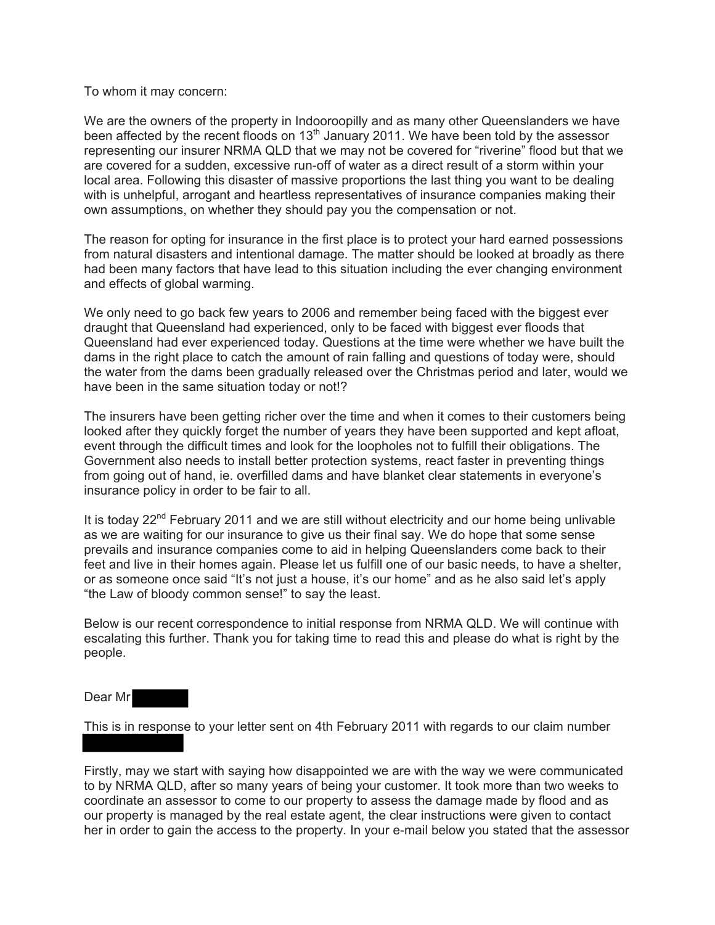## To whom it may concern:

We are the owners of the property in Indooroopilly and as many other Queenslanders we have been affected by the recent floods on 13<sup>th</sup> January 2011. We have been told by the assessor representing our insurer NRMA QLD that we may not be covered for "riverine" flood but that we are covered for a sudden, excessive run-off of water as a direct result of a storm within your local area. Following this disaster of massive proportions the last thing you want to be dealing with is unhelpful, arrogant and heartless representatives of insurance companies making their own assumptions, on whether they should pay you the compensation or not.

The reason for opting for insurance in the first place is to protect your hard earned possessions from natural disasters and intentional damage. The matter should be looked at broadly as there had been many factors that have lead to this situation including the ever changing environment and effects of global warming.

We only need to go back few years to 2006 and remember being faced with the biggest ever draught that Queensland had experienced, only to be faced with biggest ever floods that Queensland had ever experienced today. Questions at the time were whether we have built the dams in the right place to catch the amount of rain falling and questions of today were, should the water from the dams been gradually released over the Christmas period and later, would we have been in the same situation today or not!?

The insurers have been getting richer over the time and when it comes to their customers being looked after they quickly forget the number of years they have been supported and kept afloat, event through the difficult times and look for the loopholes not to fulfill their obligations. The Government also needs to install better protection systems, react faster in preventing things from going out of hand, ie. overfilled dams and have blanket clear statements in everyone's insurance policy in order to be fair to all.

It is today  $22<sup>nd</sup>$  February 2011 and we are still without electricity and our home being unlivable as we are waiting for our insurance to give us their final say. We do hope that some sense prevails and insurance companies come to aid in helping Queenslanders come back to their feet and live in their homes again. Please let us fulfill one of our basic needs, to have a shelter, or as someone once said "It's not just a house, it's our home" and as he also said let's apply "the Law of bloody common sense!" to say the least.

Below is our recent correspondence to initial response from NRMA QLD. We will continue with escalating this further. Thank you for taking time to read this and please do what is right by the people.

Dear Mr

This is in response to your letter sent on 4th February 2011 with regards to our claim number

Firstly, may we start with saying how disappointed we are with the way we were communicated to by NRMA QLD, after so many years of being your customer. It took more than two weeks to coordinate an assessor to come to our property to assess the damage made by flood and as our property is managed by the real estate agent, the clear instructions were given to contact her in order to gain the access to the property. In your e-mail below you stated that the assessor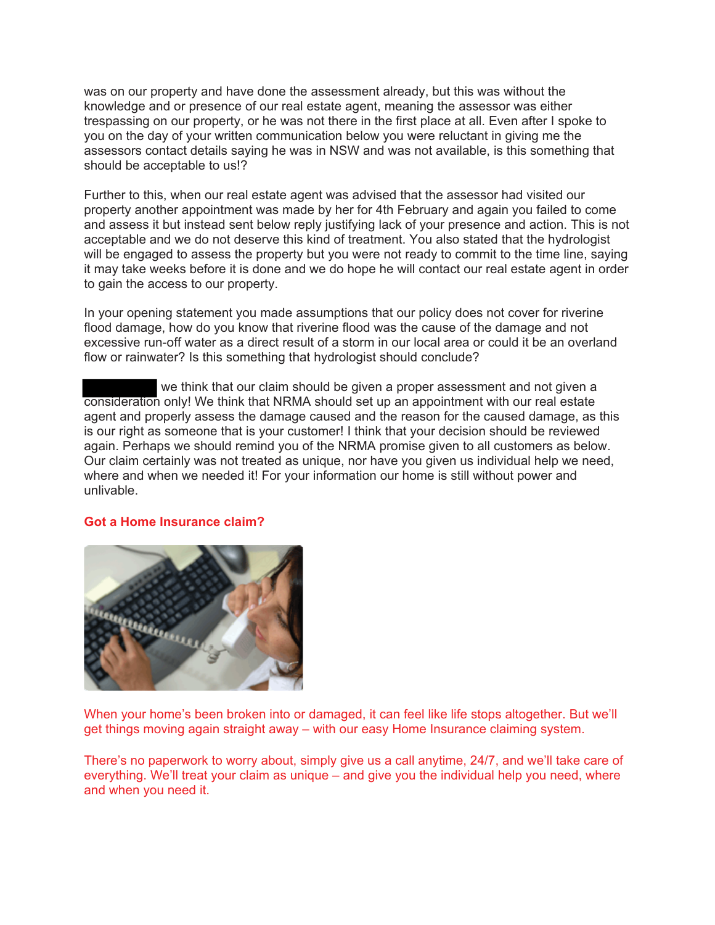was on our property and have done the assessment already, but this was without the knowledge and or presence of our real estate agent, meaning the assessor was either trespassing on our property, or he was not there in the first place at all. Even after I spoke to you on the day of your written communication below you were reluctant in giving me the assessors contact details saying he was in NSW and was not available, is this something that should be acceptable to us!?

Further to this, when our real estate agent was advised that the assessor had visited our property another appointment was made by her for 4th February and again you failed to come and assess it but instead sent below reply justifying lack of your presence and action. This is not acceptable and we do not deserve this kind of treatment. You also stated that the hydrologist will be engaged to assess the property but you were not ready to commit to the time line, saying it may take weeks before it is done and we do hope he will contact our real estate agent in order to gain the access to our property.

In your opening statement you made assumptions that our policy does not cover for riverine flood damage, how do you know that riverine flood was the cause of the damage and not excessive run-off water as a direct result of a storm in our local area or could it be an overland flow or rainwater? Is this something that hydrologist should conclude?

we think that our claim should be given a proper assessment and not given a consideration only! We think that NRMA should set up an appointment with our real estate agent and properly assess the damage caused and the reason for the caused damage, as this is our right as someone that is your customer! I think that your decision should be reviewed again. Perhaps we should remind you of the NRMA promise given to all customers as below. Our claim certainly was not treated as unique, nor have you given us individual help we need, where and when we needed it! For your information our home is still without power and unlivable.

## **Got a Home Insurance claim?**



When your home's been broken into or damaged, it can feel like life stops altogether. But we'll get things moving again straight away – with our easy Home Insurance claiming system.

There's no paperwork to worry about, simply give us a call anytime, 24/7, and we'll take care of everything. We'll treat your claim as unique – and give you the individual help you need, where and when you need it.